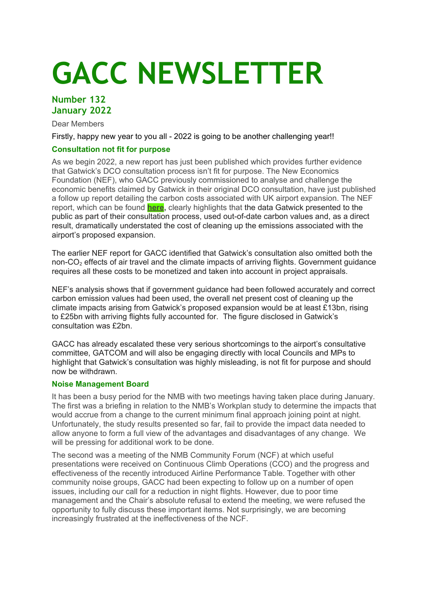# **GACC NEWSLETTER**

# **Number 132 January 2022**

Dear Members

Firstly, happy new year to you all - 2022 is going to be another challenging year!!

# **Consultation not fit for purpose**

As we begin 2022, a new report has just been published which provides further evidence that Gatwick's DCO consultation process isn't fit for purpose. The New Economics Foundation (NEF), who GACC previously commissioned to analyse and challenge the economic benefits claimed by Gatwick in their original DCO consultation, have just published a follow up report detailing the carbon costs associated with UK airport expansion. The NEF report, which can be found **[here,](https://neweconomics.org/2022/01/the-62bn-carbon-giveaway)** clearly highlights that the data Gatwick presented to the public as part of their consultation process, used out-of-date carbon values and, as a direct result, dramatically understated the cost of cleaning up the emissions associated with the airport's proposed expansion.

The earlier NEF report for GACC identified that Gatwick's consultation also omitted both the non-CO<sub>2</sub> effects of air travel and the climate impacts of arriving flights. Government guidance requires all these costs to be monetized and taken into account in project appraisals.

NEF's analysis shows that if government guidance had been followed accurately and correct carbon emission values had been used, the overall net present cost of cleaning up the climate impacts arising from Gatwick's proposed expansion would be at least £13bn, rising to £25bn with arriving flights fully accounted for. The figure disclosed in Gatwick's consultation was £2bn.

GACC has already escalated these very serious shortcomings to the airport's consultative committee, GATCOM and will also be engaging directly with local Councils and MPs to highlight that Gatwick's consultation was highly misleading, is not fit for purpose and should now be withdrawn.

## **Noise Management Board**

It has been a busy period for the NMB with two meetings having taken place during January. The first was a briefing in relation to the NMB's Workplan study to determine the impacts that would accrue from a change to the current minimum final approach joining point at night. Unfortunately, the study results presented so far, fail to provide the impact data needed to allow anyone to form a full view of the advantages and disadvantages of any change. We will be pressing for additional work to be done.

The second was a meeting of the NMB Community Forum (NCF) at which useful presentations were received on Continuous Climb Operations (CCO) and the progress and effectiveness of the recently introduced Airline Performance Table. Together with other community noise groups, GACC had been expecting to follow up on a number of open issues, including our call for a reduction in night flights. However, due to poor time management and the Chair's absolute refusal to extend the meeting, we were refused the opportunity to fully discuss these important items. Not surprisingly, we are becoming increasingly frustrated at the ineffectiveness of the NCF.